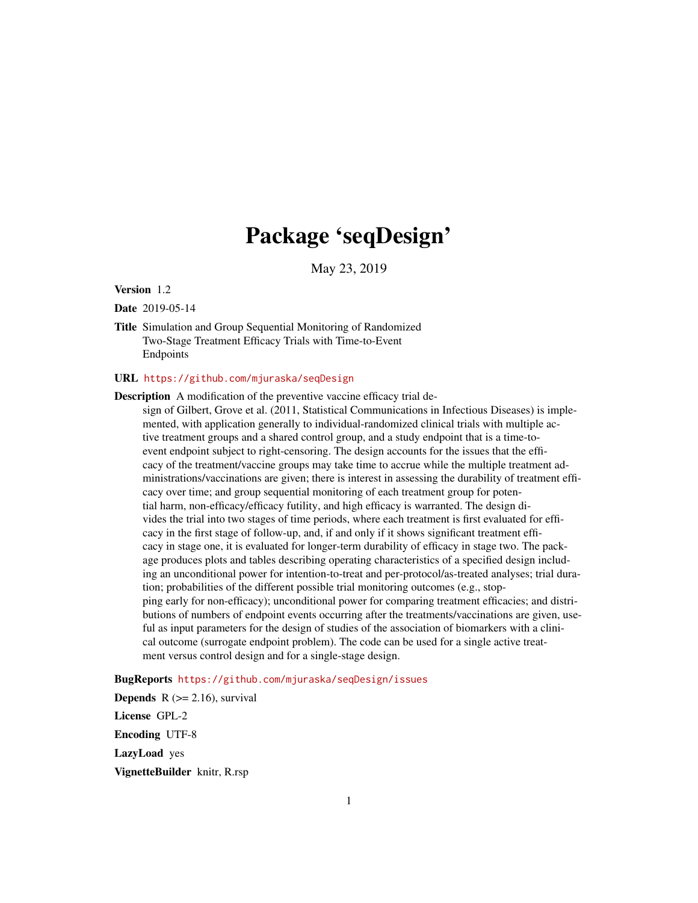# Package 'seqDesign'

May 23, 2019

Version 1.2

Date 2019-05-14

Title Simulation and Group Sequential Monitoring of Randomized Two-Stage Treatment Efficacy Trials with Time-to-Event Endpoints

URL <https://github.com/mjuraska/seqDesign>

Description A modification of the preventive vaccine efficacy trial de-

sign of Gilbert, Grove et al. (2011, Statistical Communications in Infectious Diseases) is implemented, with application generally to individual-randomized clinical trials with multiple active treatment groups and a shared control group, and a study endpoint that is a time-toevent endpoint subject to right-censoring. The design accounts for the issues that the efficacy of the treatment/vaccine groups may take time to accrue while the multiple treatment administrations/vaccinations are given; there is interest in assessing the durability of treatment efficacy over time; and group sequential monitoring of each treatment group for potential harm, non-efficacy/efficacy futility, and high efficacy is warranted. The design divides the trial into two stages of time periods, where each treatment is first evaluated for efficacy in the first stage of follow-up, and, if and only if it shows significant treatment efficacy in stage one, it is evaluated for longer-term durability of efficacy in stage two. The package produces plots and tables describing operating characteristics of a specified design including an unconditional power for intention-to-treat and per-protocol/as-treated analyses; trial duration; probabilities of the different possible trial monitoring outcomes (e.g., stopping early for non-efficacy); unconditional power for comparing treatment efficacies; and distributions of numbers of endpoint events occurring after the treatments/vaccinations are given, useful as input parameters for the design of studies of the association of biomarkers with a clinical outcome (surrogate endpoint problem). The code can be used for a single active treatment versus control design and for a single-stage design.

BugReports <https://github.com/mjuraska/seqDesign/issues>

**Depends**  $R$  ( $>= 2.16$ ), survival License GPL-2 Encoding UTF-8 LazyLoad yes VignetteBuilder knitr, R.rsp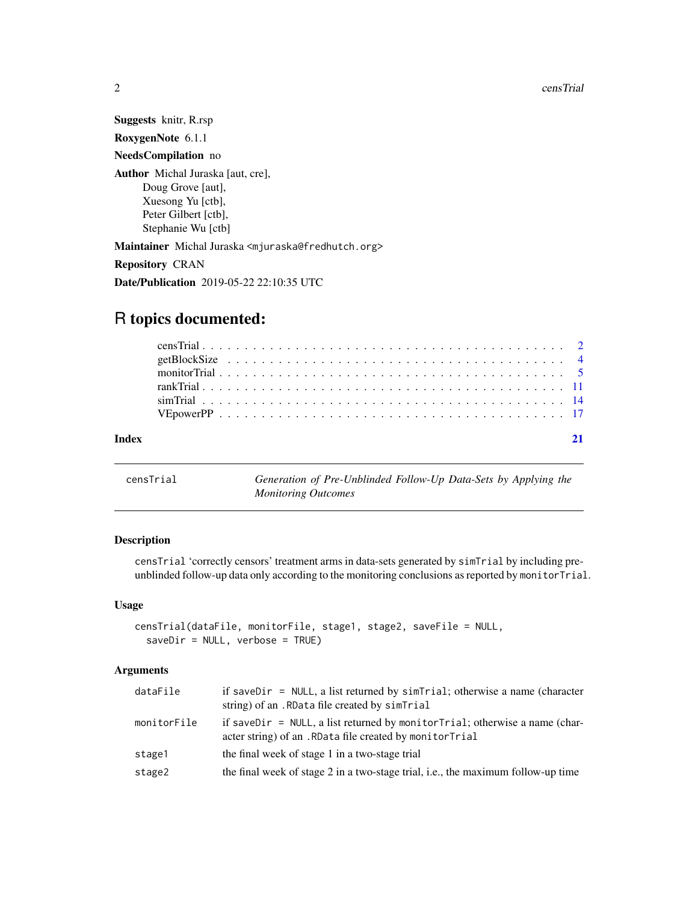Suggests knitr, R.rsp

RoxygenNote 6.1.1

#### NeedsCompilation no

Author Michal Juraska [aut, cre], Doug Grove [aut], Xuesong Yu [ctb], Peter Gilbert [ctb], Stephanie Wu [ctb]

Maintainer Michal Juraska <mjuraska@fredhutch.org>

Repository CRAN

Date/Publication 2019-05-22 22:10:35 UTC

## R topics documented:

| Index |  |  |  |  |  |  |  |  |  |  |  |  |  |  |  |  |  |  |
|-------|--|--|--|--|--|--|--|--|--|--|--|--|--|--|--|--|--|--|
|       |  |  |  |  |  |  |  |  |  |  |  |  |  |  |  |  |  |  |
|       |  |  |  |  |  |  |  |  |  |  |  |  |  |  |  |  |  |  |
|       |  |  |  |  |  |  |  |  |  |  |  |  |  |  |  |  |  |  |
|       |  |  |  |  |  |  |  |  |  |  |  |  |  |  |  |  |  |  |
|       |  |  |  |  |  |  |  |  |  |  |  |  |  |  |  |  |  |  |
|       |  |  |  |  |  |  |  |  |  |  |  |  |  |  |  |  |  |  |

<span id="page-1-1"></span>censTrial *Generation of Pre-Unblinded Follow-Up Data-Sets by Applying the Monitoring Outcomes*

#### Description

censTrial 'correctly censors' treatment arms in data-sets generated by simTrial by including preunblinded follow-up data only according to the monitoring conclusions as reported by monitorTrial.

#### Usage

```
censTrial(dataFile, monitorFile, stage1, stage2, saveFile = NULL,
  saveDir = NULL, verbose = TRUE)
```

| dataFile    | if saveDir = NULL, a list returned by $sim[\text{Tr}ia]$ ; otherwise a name (character<br>string) of an .RData file created by simTrial  |
|-------------|------------------------------------------------------------------------------------------------------------------------------------------|
| monitorFile | if saveDir = NULL, a list returned by monitorTrial; otherwise a name (char-<br>acter string) of an . RData file created by monitor Trial |
| stage1      | the final week of stage 1 in a two-stage trial                                                                                           |
| stage2      | the final week of stage 2 in a two-stage trial, i.e., the maximum follow-up time                                                         |

<span id="page-1-0"></span>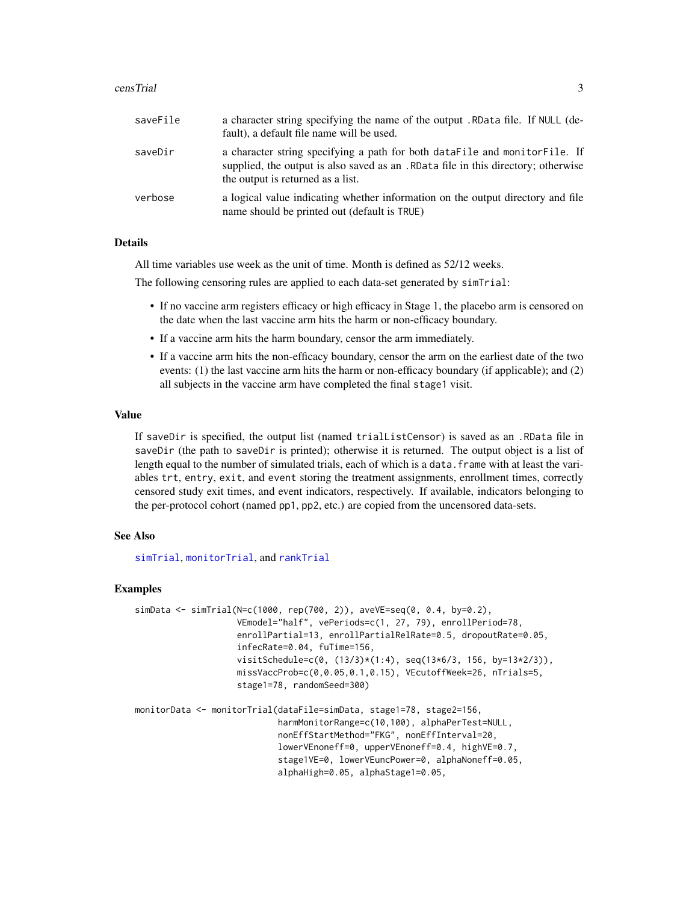#### <span id="page-2-0"></span>censTrial 3

| saveFile | a character string specifying the name of the output. RData file. If NULL (de-<br>fault), a default file name will be used.                                                                          |
|----------|------------------------------------------------------------------------------------------------------------------------------------------------------------------------------------------------------|
| saveDir  | a character string specifying a path for both dataFile and monitorFile. If<br>supplied, the output is also saved as an .RData file in this directory; otherwise<br>the output is returned as a list. |
| verbose  | a logical value indicating whether information on the output directory and file<br>name should be printed out (default is TRUE)                                                                      |

#### Details

All time variables use week as the unit of time. Month is defined as 52/12 weeks.

The following censoring rules are applied to each data-set generated by simTrial:

- If no vaccine arm registers efficacy or high efficacy in Stage 1, the placebo arm is censored on the date when the last vaccine arm hits the harm or non-efficacy boundary.
- If a vaccine arm hits the harm boundary, censor the arm immediately.
- If a vaccine arm hits the non-efficacy boundary, censor the arm on the earliest date of the two events: (1) the last vaccine arm hits the harm or non-efficacy boundary (if applicable); and (2) all subjects in the vaccine arm have completed the final stage1 visit.

#### Value

If saveDir is specified, the output list (named trialListCensor) is saved as an .RData file in saveDir (the path to saveDir is printed); otherwise it is returned. The output object is a list of length equal to the number of simulated trials, each of which is a data. frame with at least the variables trt, entry, exit, and event storing the treatment assignments, enrollment times, correctly censored study exit times, and event indicators, respectively. If available, indicators belonging to the per-protocol cohort (named pp1, pp2, etc.) are copied from the uncensored data-sets.

#### See Also

[simTrial](#page-13-1), [monitorTrial](#page-4-1), and [rankTrial](#page-10-1)

#### Examples

```
simData <- simTrial(N=c(1000, rep(700, 2)), aveVE=seq(0, 0.4, by=0.2),
                    VEmodel="half", vePeriods=c(1, 27, 79), enrollPeriod=78,
                    enrollPartial=13, enrollPartialRelRate=0.5, dropoutRate=0.05,
                    infecRate=0.04, fuTime=156,
                    visitSchedule=c(0, (13/3)*(1:4), seq(13*6/3, 156, by=13*2/3)),
                    missVaccProb=c(0,0.05,0.1,0.15), VEcutoffWeek=26, nTrials=5,
                    stage1=78, randomSeed=300)
```

```
monitorData <- monitorTrial(dataFile=simData, stage1=78, stage2=156,
                            harmMonitorRange=c(10,100), alphaPerTest=NULL,
                            nonEffStartMethod="FKG", nonEffInterval=20,
                            lowerVEnoneff=0, upperVEnoneff=0.4, highVE=0.7,
                            stage1VE=0, lowerVEuncPower=0, alphaNoneff=0.05,
                            alphaHigh=0.05, alphaStage1=0.05,
```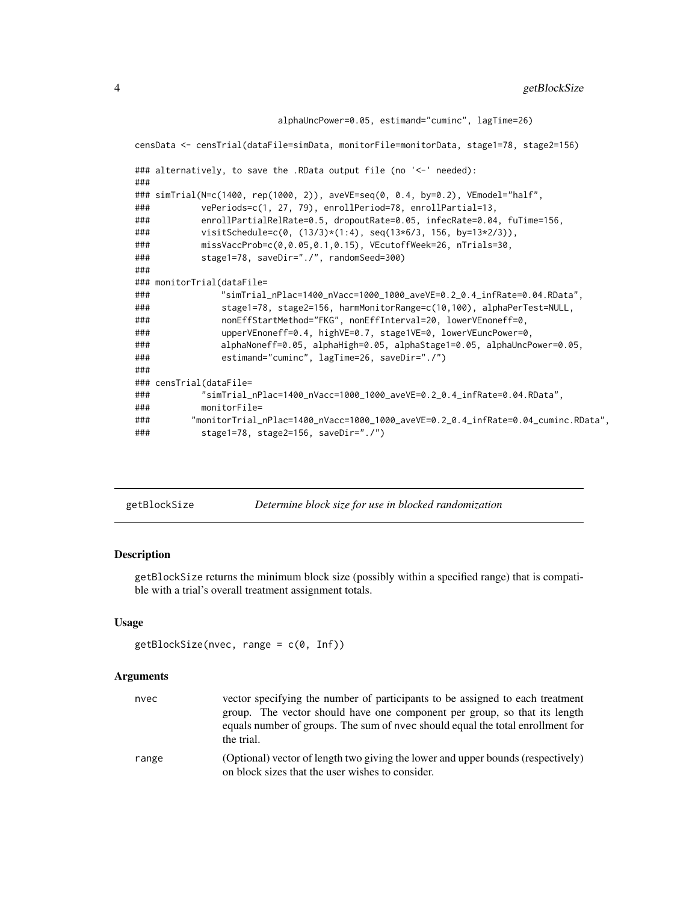```
alphaUncPower=0.05, estimand="cuminc", lagTime=26)
censData <- censTrial(dataFile=simData, monitorFile=monitorData, stage1=78, stage2=156)
### alternatively, to save the .RData output file (no '<-' needed):
###
### simTrial(N=c(1400, rep(1000, 2)), aveVE=seq(0, 0.4, by=0.2), VEmodel="half",
### vePeriods=c(1, 27, 79), enrollPeriod=78, enrollPartial=13,
### enrollPartialRelRate=0.5, dropoutRate=0.05, infecRate=0.04, fuTime=156,
### visitSchedule=c(0, (13/3)*(1:4), seq(13*6/3, 156, by=13*2/3)),
### missVaccProb=c(0,0.05,0.1,0.15), VEcutoffWeek=26, nTrials=30,
### stage1=78, saveDir="./", randomSeed=300)
###
### monitorTrial(dataFile=
### "simTrial_nPlac=1400_nVacc=1000_1000_aveVE=0.2_0.4_infRate=0.04.RData",
### stage1=78, stage2=156, harmMonitorRange=c(10,100), alphaPerTest=NULL,
### nonEffStartMethod="FKG", nonEffInterval=20, lowerVEnoneff=0,
### upperVEnoneff=0.4, highVE=0.7, stage1VE=0, lowerVEuncPower=0,
### alphaNoneff=0.05, alphaHigh=0.05, alphaStage1=0.05, alphaUncPower=0.05,
### estimand="cuminc", lagTime=26, saveDir="./")
###
### censTrial(dataFile=
### "simTrial_nPlac=1400_nVacc=1000_1000_aveVE=0.2_0.4_infRate=0.04.RData",
### monitorFile=
### "monitorTrial_nPlac=1400_nVacc=1000_1000_aveVE=0.2_0.4_infRate=0.04_cuminc.RData",
### stage1=78, stage2=156, saveDir="./")
```

| getBlockSize |  |  |  |
|--------------|--|--|--|
|--------------|--|--|--|

Determine block size for use in blocked randomization

#### Description

getBlockSize returns the minimum block size (possibly within a specified range) that is compatible with a trial's overall treatment assignment totals.

#### Usage

```
getBlockSize(nvec, range = c(0, Inf))
```

| nvec  | vector specifying the number of participants to be assigned to each treatment<br>group. The vector should have one component per group, so that its length<br>equals number of groups. The sum of nyec should equal the total enrollment for<br>the trial. |
|-------|------------------------------------------------------------------------------------------------------------------------------------------------------------------------------------------------------------------------------------------------------------|
| range | (Optional) vector of length two giving the lower and upper bounds (respectively)<br>on block sizes that the user wishes to consider.                                                                                                                       |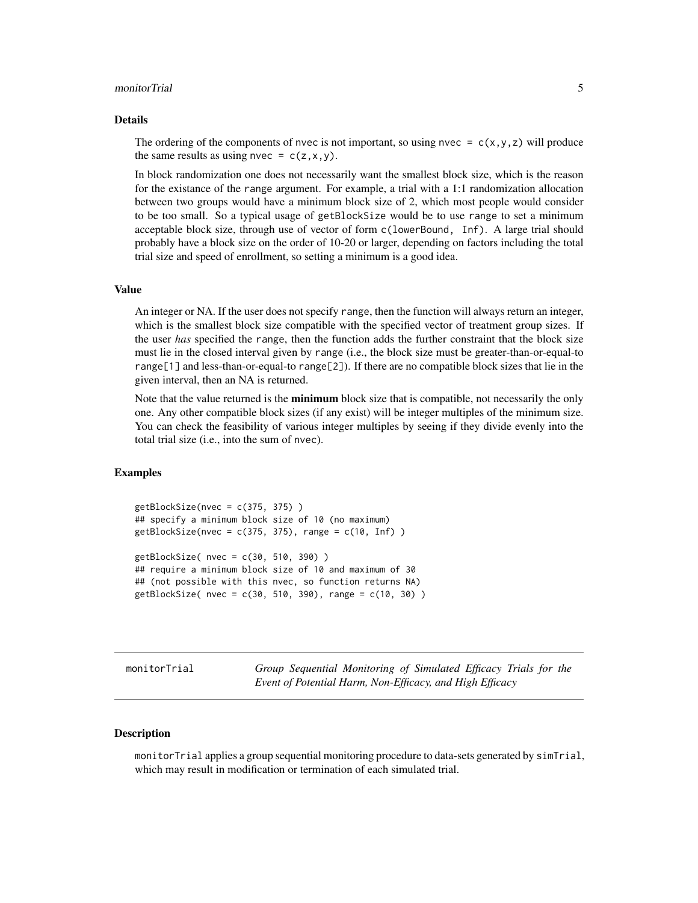#### <span id="page-4-0"></span>monitorTrial 5

#### Details

The ordering of the components of nvec is not important, so using nvec =  $c(x, y, z)$  will produce the same results as using nvec =  $c(z, x, y)$ .

In block randomization one does not necessarily want the smallest block size, which is the reason for the existance of the range argument. For example, a trial with a 1:1 randomization allocation between two groups would have a minimum block size of 2, which most people would consider to be too small. So a typical usage of getBlockSize would be to use range to set a minimum acceptable block size, through use of vector of form c(lowerBound, Inf). A large trial should probably have a block size on the order of 10-20 or larger, depending on factors including the total trial size and speed of enrollment, so setting a minimum is a good idea.

#### Value

An integer or NA. If the user does not specify range, then the function will always return an integer, which is the smallest block size compatible with the specified vector of treatment group sizes. If the user *has* specified the range, then the function adds the further constraint that the block size must lie in the closed interval given by range (i.e., the block size must be greater-than-or-equal-to range[1] and less-than-or-equal-to range[2]). If there are no compatible block sizes that lie in the given interval, then an NA is returned.

Note that the value returned is the **minimum** block size that is compatible, not necessarily the only one. Any other compatible block sizes (if any exist) will be integer multiples of the minimum size. You can check the feasibility of various integer multiples by seeing if they divide evenly into the total trial size (i.e., into the sum of nvec).

#### Examples

```
getBlockSize(nvec = c(375, 375) )
## specify a minimum block size of 10 (no maximum)
getBlockSize(nvec = c(375, 375), range = c(10, Inf) )getBlockSize( nvec = c(30, 510, 390) )
## require a minimum block size of 10 and maximum of 30
## (not possible with this nvec, so function returns NA)
getBlockSize( nvec = c(30, 510, 390), range = c(10, 30) )
```
<span id="page-4-1"></span>monitorTrial *Group Sequential Monitoring of Simulated Efficacy Trials for the Event of Potential Harm, Non-Efficacy, and High Efficacy*

#### Description

monitorTrial applies a group sequential monitoring procedure to data-sets generated by simTrial, which may result in modification or termination of each simulated trial.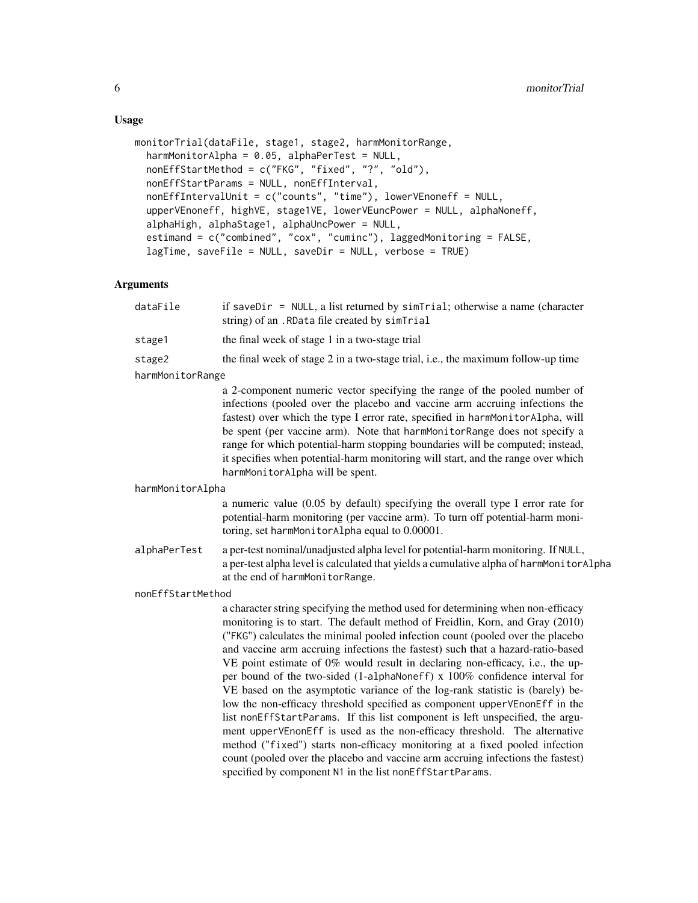#### Usage

```
monitorTrial(dataFile, stage1, stage2, harmMonitorRange,
 harmMonitorAlpha = 0.05, alphaPerTest = NULL,
  nonEffStartMethod = c("FKG", "fixed", "?", "old"),
 nonEffStartParams = NULL, nonEffInterval,
 nonEffIntervalUnit = c("counts", "time"), lowerVEnoneff = NULL,
  upperVEnoneff, highVE, stage1VE, lowerVEuncPower = NULL, alphaNoneff,
  alphaHigh, alphaStage1, alphaUncPower = NULL,
  estimand = c("combined", "cox", "cuminc"), laggedMonitoring = FALSE,
  lagTime, saveFile = NULL, saveDir = NULL, verbose = TRUE)
```

| if saveDir = NULL, a list returned by simTrial; otherwise a name (character<br>string) of an .RData file created by simTrial                                                                                                                                                                                                                                                                                                                                                                                                                                                                                                                                                                                                                                                                                                                                                                                                                                                                                                                                   |
|----------------------------------------------------------------------------------------------------------------------------------------------------------------------------------------------------------------------------------------------------------------------------------------------------------------------------------------------------------------------------------------------------------------------------------------------------------------------------------------------------------------------------------------------------------------------------------------------------------------------------------------------------------------------------------------------------------------------------------------------------------------------------------------------------------------------------------------------------------------------------------------------------------------------------------------------------------------------------------------------------------------------------------------------------------------|
| the final week of stage 1 in a two-stage trial                                                                                                                                                                                                                                                                                                                                                                                                                                                                                                                                                                                                                                                                                                                                                                                                                                                                                                                                                                                                                 |
| the final week of stage 2 in a two-stage trial, i.e., the maximum follow-up time                                                                                                                                                                                                                                                                                                                                                                                                                                                                                                                                                                                                                                                                                                                                                                                                                                                                                                                                                                               |
| harmMonitorRange                                                                                                                                                                                                                                                                                                                                                                                                                                                                                                                                                                                                                                                                                                                                                                                                                                                                                                                                                                                                                                               |
| a 2-component numeric vector specifying the range of the pooled number of<br>infections (pooled over the placebo and vaccine arm accruing infections the<br>fastest) over which the type I error rate, specified in harmMonitorAlpha, will<br>be spent (per vaccine arm). Note that harmMonitorRange does not specify a<br>range for which potential-harm stopping boundaries will be computed; instead,<br>it specifies when potential-harm monitoring will start, and the range over which<br>harmMonitorAlpha will be spent.                                                                                                                                                                                                                                                                                                                                                                                                                                                                                                                                |
| harmMonitorAlpha                                                                                                                                                                                                                                                                                                                                                                                                                                                                                                                                                                                                                                                                                                                                                                                                                                                                                                                                                                                                                                               |
| a numeric value (0.05 by default) specifying the overall type I error rate for<br>potential-harm monitoring (per vaccine arm). To turn off potential-harm moni-<br>toring, set harmMonitorAlpha equal to 0.00001.                                                                                                                                                                                                                                                                                                                                                                                                                                                                                                                                                                                                                                                                                                                                                                                                                                              |
| a per-test nominal/unadjusted alpha level for potential-harm monitoring. If NULL,<br>a per-test alpha level is calculated that yields a cumulative alpha of harmMonitorAlpha<br>at the end of harmMonitorRange.                                                                                                                                                                                                                                                                                                                                                                                                                                                                                                                                                                                                                                                                                                                                                                                                                                                |
| nonEffStartMethod                                                                                                                                                                                                                                                                                                                                                                                                                                                                                                                                                                                                                                                                                                                                                                                                                                                                                                                                                                                                                                              |
| a character string specifying the method used for determining when non-efficacy<br>monitoring is to start. The default method of Freidlin, Korn, and Gray (2010)<br>("FKG") calculates the minimal pooled infection count (pooled over the placebo<br>and vaccine arm accruing infections the fastest) such that a hazard-ratio-based<br>VE point estimate of 0% would result in declaring non-efficacy, i.e., the up-<br>per bound of the two-sided (1-alphaNoneff) x 100% confidence interval for<br>VE based on the asymptotic variance of the log-rank statistic is (barely) be-<br>low the non-efficacy threshold specified as component upperVEnonEff in the<br>list nonEffStartParams. If this list component is left unspecified, the argu-<br>ment upperVEnonEff is used as the non-efficacy threshold. The alternative<br>method ("fixed") starts non-efficacy monitoring at a fixed pooled infection<br>count (pooled over the placebo and vaccine arm accruing infections the fastest)<br>specified by component N1 in the list nonEffStartParams. |
|                                                                                                                                                                                                                                                                                                                                                                                                                                                                                                                                                                                                                                                                                                                                                                                                                                                                                                                                                                                                                                                                |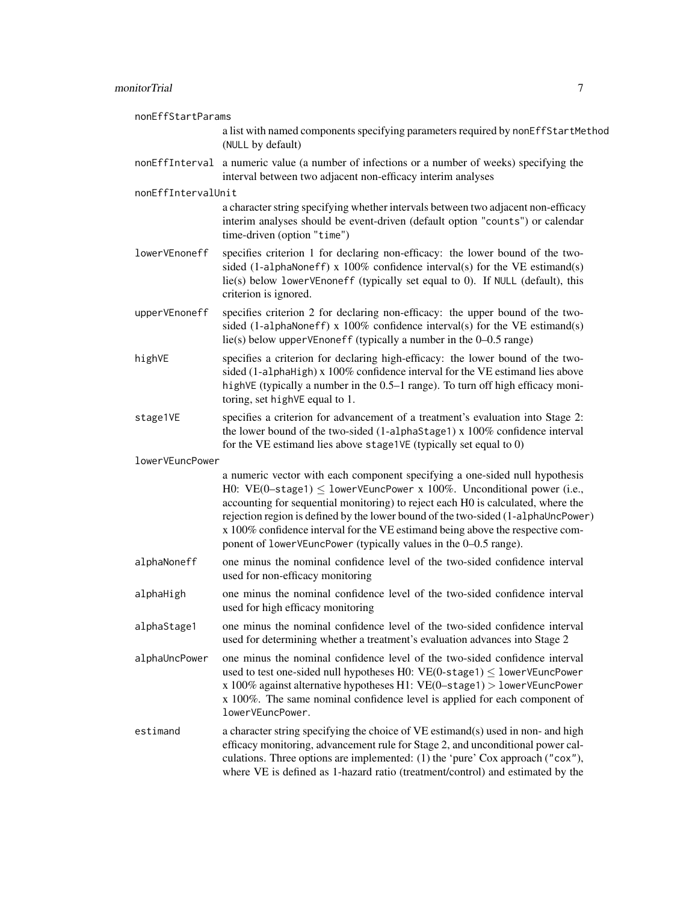### monitorTrial 7

| nonEffStartParams      |                                                                                                                                                                                                                                                                                                                                                                                                                                                                                          |
|------------------------|------------------------------------------------------------------------------------------------------------------------------------------------------------------------------------------------------------------------------------------------------------------------------------------------------------------------------------------------------------------------------------------------------------------------------------------------------------------------------------------|
|                        | a list with named components specifying parameters required by nonEffStartMethod<br>(NULL by default)                                                                                                                                                                                                                                                                                                                                                                                    |
|                        | nonEffInterval a numeric value (a number of infections or a number of weeks) specifying the<br>interval between two adjacent non-efficacy interim analyses                                                                                                                                                                                                                                                                                                                               |
| nonEffIntervalUnit     |                                                                                                                                                                                                                                                                                                                                                                                                                                                                                          |
|                        | a character string specifying whether intervals between two adjacent non-efficacy<br>interim analyses should be event-driven (default option "counts") or calendar<br>time-driven (option "time")                                                                                                                                                                                                                                                                                        |
| lowerVEnoneff          | specifies criterion 1 for declaring non-efficacy: the lower bound of the two-<br>sided (1-a1phaNoneff) x $100\%$ confidence interval(s) for the VE estimand(s)<br>lie(s) below lowerVEnoneff (typically set equal to 0). If NULL (default), this<br>criterion is ignored.                                                                                                                                                                                                                |
| upperVEnoneff          | specifies criterion 2 for declaring non-efficacy: the upper bound of the two-<br>sided (1-a1phaNoneff) x $100\%$ confidence interval(s) for the VE estimand(s)<br>lie(s) below upper VE none f f (typically a number in the $0-0.5$ range)                                                                                                                                                                                                                                               |
| highVE                 | specifies a criterion for declaring high-efficacy: the lower bound of the two-<br>sided (1-alphaHigh) x 100% confidence interval for the VE estimand lies above<br>highVE (typically a number in the 0.5–1 range). To turn off high efficacy moni-<br>toring, set highVE equal to 1.                                                                                                                                                                                                     |
| stage1VE               | specifies a criterion for advancement of a treatment's evaluation into Stage 2:<br>the lower bound of the two-sided (1-alphaStage1) x 100% confidence interval<br>for the VE estimand lies above stage1VE (typically set equal to 0)                                                                                                                                                                                                                                                     |
| <b>lowerVEuncPower</b> |                                                                                                                                                                                                                                                                                                                                                                                                                                                                                          |
|                        | a numeric vector with each component specifying a one-sided null hypothesis<br>H0: VE(0-stage1) $\leq$ lowerVEuncPower x 100%. Unconditional power (i.e.,<br>accounting for sequential monitoring) to reject each H0 is calculated, where the<br>rejection region is defined by the lower bound of the two-sided (1-a1phaUncPower)<br>x 100% confidence interval for the VE estimand being above the respective com-<br>ponent of lowerVEuncPower (typically values in the 0-0.5 range). |
| alphaNoneff            | one minus the nominal confidence level of the two-sided confidence interval<br>used for non-efficacy monitoring                                                                                                                                                                                                                                                                                                                                                                          |
| alphaHigh              | one minus the nominal confidence level of the two-sided confidence interval<br>used for high efficacy monitoring                                                                                                                                                                                                                                                                                                                                                                         |
| alphaStage1            | one minus the nominal confidence level of the two-sided confidence interval<br>used for determining whether a treatment's evaluation advances into Stage 2                                                                                                                                                                                                                                                                                                                               |
| alphaUncPower          | one minus the nominal confidence level of the two-sided confidence interval<br>used to test one-sided null hypotheses H0: $VE(0\textrm{-}stage1) \leq lower$ VEuncPower<br>x 100% against alternative hypotheses $H1$ : VE(0-stage1) > lowerVEuncPower<br>x 100%. The same nominal confidence level is applied for each component of<br>lowerVEuncPower.                                                                                                                                 |
| estimand               | a character string specifying the choice of VE estimand(s) used in non- and high<br>efficacy monitoring, advancement rule for Stage 2, and unconditional power cal-<br>culations. Three options are implemented: (1) the 'pure' Cox approach ("cox"),<br>where VE is defined as 1-hazard ratio (treatment/control) and estimated by the                                                                                                                                                  |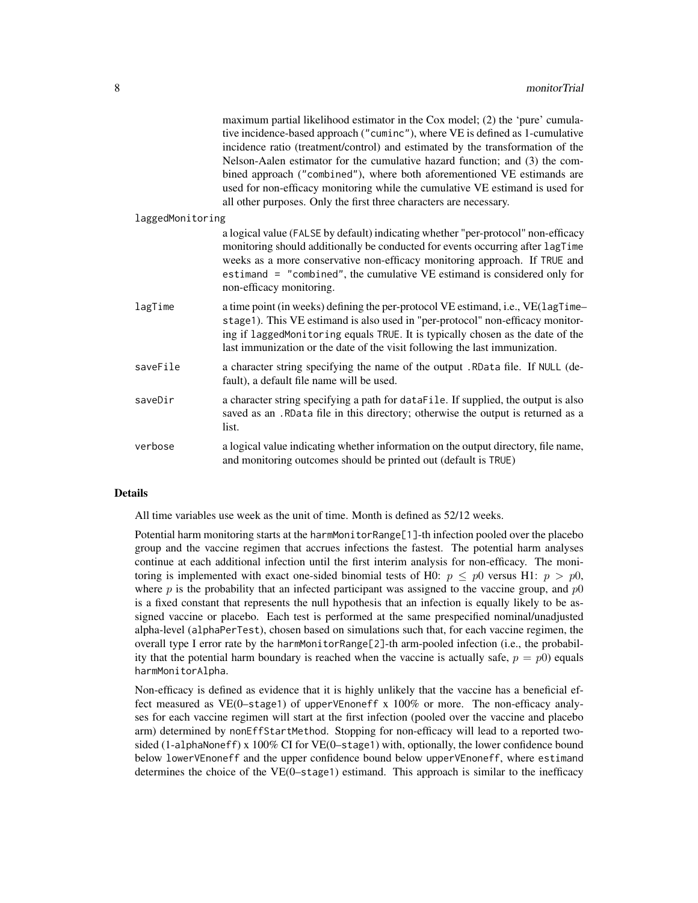|                  | maximum partial likelihood estimator in the Cox model; (2) the 'pure' cumula-<br>tive incidence-based approach ("cuminc"), where VE is defined as 1-cumulative<br>incidence ratio (treatment/control) and estimated by the transformation of the<br>Nelson-Aalen estimator for the cumulative hazard function; and (3) the com-<br>bined approach ("combined"), where both aforementioned VE estimands are<br>used for non-efficacy monitoring while the cumulative VE estimand is used for<br>all other purposes. Only the first three characters are necessary. |
|------------------|-------------------------------------------------------------------------------------------------------------------------------------------------------------------------------------------------------------------------------------------------------------------------------------------------------------------------------------------------------------------------------------------------------------------------------------------------------------------------------------------------------------------------------------------------------------------|
| laggedMonitoring |                                                                                                                                                                                                                                                                                                                                                                                                                                                                                                                                                                   |
|                  | a logical value (FALSE by default) indicating whether "per-protocol" non-efficacy<br>monitoring should additionally be conducted for events occurring after lagTime<br>weeks as a more conservative non-efficacy monitoring approach. If TRUE and<br>estimand = "combined", the cumulative VE estimand is considered only for<br>non-efficacy monitoring.                                                                                                                                                                                                         |
| lagTime          | a time point (in weeks) defining the per-protocol VE estimand, i.e., VE(lagTime-<br>stage1). This VE estimand is also used in "per-protocol" non-efficacy monitor-<br>ing if laggedMonitoring equals TRUE. It is typically chosen as the date of the<br>last immunization or the date of the visit following the last immunization.                                                                                                                                                                                                                               |
| saveFile         | a character string specifying the name of the output . RData file. If NULL (de-<br>fault), a default file name will be used.                                                                                                                                                                                                                                                                                                                                                                                                                                      |
| saveDir          | a character string specifying a path for dataFile. If supplied, the output is also<br>saved as an .RData file in this directory; otherwise the output is returned as a<br>list.                                                                                                                                                                                                                                                                                                                                                                                   |
| verbose          | a logical value indicating whether information on the output directory, file name,<br>and monitoring outcomes should be printed out (default is TRUE)                                                                                                                                                                                                                                                                                                                                                                                                             |

#### Details

All time variables use week as the unit of time. Month is defined as 52/12 weeks.

Potential harm monitoring starts at the harmMonitorRange[1]-th infection pooled over the placebo group and the vaccine regimen that accrues infections the fastest. The potential harm analyses continue at each additional infection until the first interim analysis for non-efficacy. The monitoring is implemented with exact one-sided binomial tests of H0:  $p \leq p0$  versus H1:  $p > p0$ , where p is the probability that an infected participant was assigned to the vaccine group, and  $p0$ is a fixed constant that represents the null hypothesis that an infection is equally likely to be assigned vaccine or placebo. Each test is performed at the same prespecified nominal/unadjusted alpha-level (alphaPerTest), chosen based on simulations such that, for each vaccine regimen, the overall type I error rate by the harmMonitorRange[2]-th arm-pooled infection (i.e., the probability that the potential harm boundary is reached when the vaccine is actually safe,  $p = p0$ ) equals harmMonitorAlpha.

Non-efficacy is defined as evidence that it is highly unlikely that the vaccine has a beneficial effect measured as  $VE(0 - stage1)$  of upperVEnoneff x 100% or more. The non-efficacy analyses for each vaccine regimen will start at the first infection (pooled over the vaccine and placebo arm) determined by nonEffStartMethod. Stopping for non-efficacy will lead to a reported twosided (1-alphaNoneff) x 100% CI for VE(0-stage1) with, optionally, the lower confidence bound below lowerVEnoneff and the upper confidence bound below upperVEnoneff, where estimand determines the choice of the VE(0–stage1) estimand. This approach is similar to the inefficacy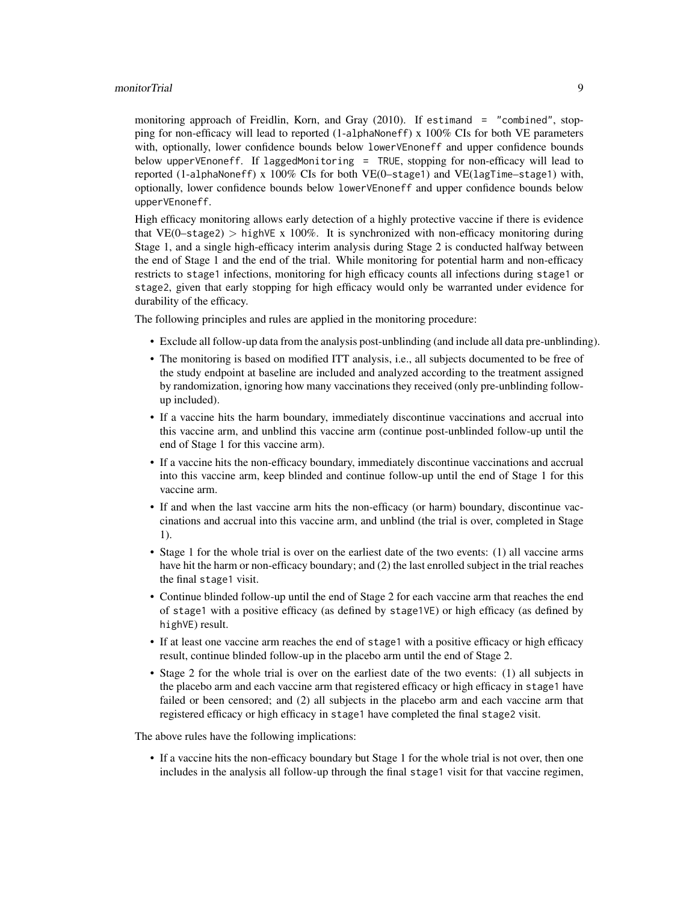#### monitorTrial 9

monitoring approach of Freidlin, Korn, and Gray (2010). If estimand = "combined", stopping for non-efficacy will lead to reported  $(1-aIphaNoneff)$  x  $100\%$  CIs for both VE parameters with, optionally, lower confidence bounds below lowerVEnoneff and upper confidence bounds below upperVEnoneff. If laggedMonitoring = TRUE, stopping for non-efficacy will lead to reported (1-alphaNoneff) x  $100\%$  CIs for both VE(0–stage1) and VE( $1$ agTime–stage1) with, optionally, lower confidence bounds below lowerVEnoneff and upper confidence bounds below upperVEnoneff.

High efficacy monitoring allows early detection of a highly protective vaccine if there is evidence that VE(0–stage2) > highVE x 100%. It is synchronized with non-efficacy monitoring during Stage 1, and a single high-efficacy interim analysis during Stage 2 is conducted halfway between the end of Stage 1 and the end of the trial. While monitoring for potential harm and non-efficacy restricts to stage1 infections, monitoring for high efficacy counts all infections during stage1 or stage2, given that early stopping for high efficacy would only be warranted under evidence for durability of the efficacy.

The following principles and rules are applied in the monitoring procedure:

- Exclude all follow-up data from the analysis post-unblinding (and include all data pre-unblinding).
- The monitoring is based on modified ITT analysis, i.e., all subjects documented to be free of the study endpoint at baseline are included and analyzed according to the treatment assigned by randomization, ignoring how many vaccinations they received (only pre-unblinding followup included).
- If a vaccine hits the harm boundary, immediately discontinue vaccinations and accrual into this vaccine arm, and unblind this vaccine arm (continue post-unblinded follow-up until the end of Stage 1 for this vaccine arm).
- If a vaccine hits the non-efficacy boundary, immediately discontinue vaccinations and accrual into this vaccine arm, keep blinded and continue follow-up until the end of Stage 1 for this vaccine arm.
- If and when the last vaccine arm hits the non-efficacy (or harm) boundary, discontinue vaccinations and accrual into this vaccine arm, and unblind (the trial is over, completed in Stage 1).
- Stage 1 for the whole trial is over on the earliest date of the two events: (1) all vaccine arms have hit the harm or non-efficacy boundary; and (2) the last enrolled subject in the trial reaches the final stage1 visit.
- Continue blinded follow-up until the end of Stage 2 for each vaccine arm that reaches the end of stage1 with a positive efficacy (as defined by stage1VE) or high efficacy (as defined by highVE) result.
- If at least one vaccine arm reaches the end of stage1 with a positive efficacy or high efficacy result, continue blinded follow-up in the placebo arm until the end of Stage 2.
- Stage 2 for the whole trial is over on the earliest date of the two events: (1) all subjects in the placebo arm and each vaccine arm that registered efficacy or high efficacy in stage1 have failed or been censored; and (2) all subjects in the placebo arm and each vaccine arm that registered efficacy or high efficacy in stage1 have completed the final stage2 visit.

The above rules have the following implications:

• If a vaccine hits the non-efficacy boundary but Stage 1 for the whole trial is not over, then one includes in the analysis all follow-up through the final stage1 visit for that vaccine regimen,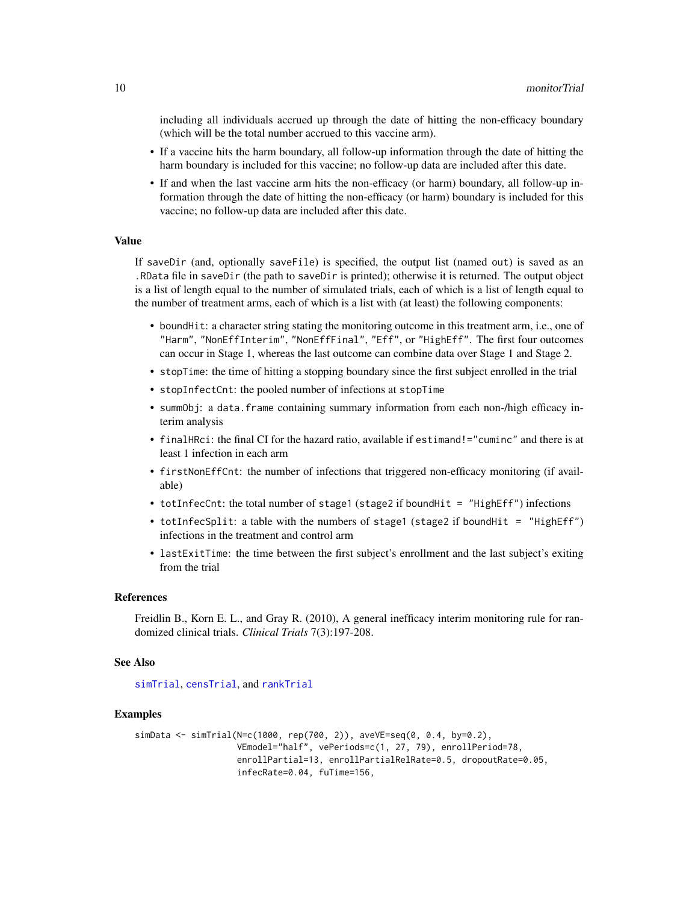<span id="page-9-0"></span>including all individuals accrued up through the date of hitting the non-efficacy boundary (which will be the total number accrued to this vaccine arm).

- If a vaccine hits the harm boundary, all follow-up information through the date of hitting the harm boundary is included for this vaccine; no follow-up data are included after this date.
- If and when the last vaccine arm hits the non-efficacy (or harm) boundary, all follow-up information through the date of hitting the non-efficacy (or harm) boundary is included for this vaccine; no follow-up data are included after this date.

#### Value

If saveDir (and, optionally saveFile) is specified, the output list (named out) is saved as an .RData file in saveDir (the path to saveDir is printed); otherwise it is returned. The output object is a list of length equal to the number of simulated trials, each of which is a list of length equal to the number of treatment arms, each of which is a list with (at least) the following components:

- boundHit: a character string stating the monitoring outcome in this treatment arm, i.e., one of "Harm", "NonEffInterim", "NonEffFinal", "Eff", or "HighEff". The first four outcomes can occur in Stage 1, whereas the last outcome can combine data over Stage 1 and Stage 2.
- stopTime: the time of hitting a stopping boundary since the first subject enrolled in the trial
- stopInfectCnt: the pooled number of infections at stopTime
- summObj: a data.frame containing summary information from each non-/high efficacy interim analysis
- finalHRci: the final CI for the hazard ratio, available if estimand!="cuminc" and there is at least 1 infection in each arm
- firstNonEffCnt: the number of infections that triggered non-efficacy monitoring (if available)
- totInfecCnt: the total number of stage1 (stage2 if boundHit = "HighEff") infections
- totInfecSplit: a table with the numbers of stage1 (stage2 if boundHit = "HighEff") infections in the treatment and control arm
- lastExitTime: the time between the first subject's enrollment and the last subject's exiting from the trial

#### References

Freidlin B., Korn E. L., and Gray R. (2010), A general inefficacy interim monitoring rule for randomized clinical trials. *Clinical Trials* 7(3):197-208.

#### See Also

[simTrial](#page-13-1), [censTrial](#page-1-1), and [rankTrial](#page-10-1)

#### Examples

```
simData <- simTrial(N=c(1000, rep(700, 2)), aveVE=seq(0, 0.4, by=0.2),
                    VEmodel="half", vePeriods=c(1, 27, 79), enrollPeriod=78,
                    enrollPartial=13, enrollPartialRelRate=0.5, dropoutRate=0.05,
                    infecRate=0.04, fuTime=156,
```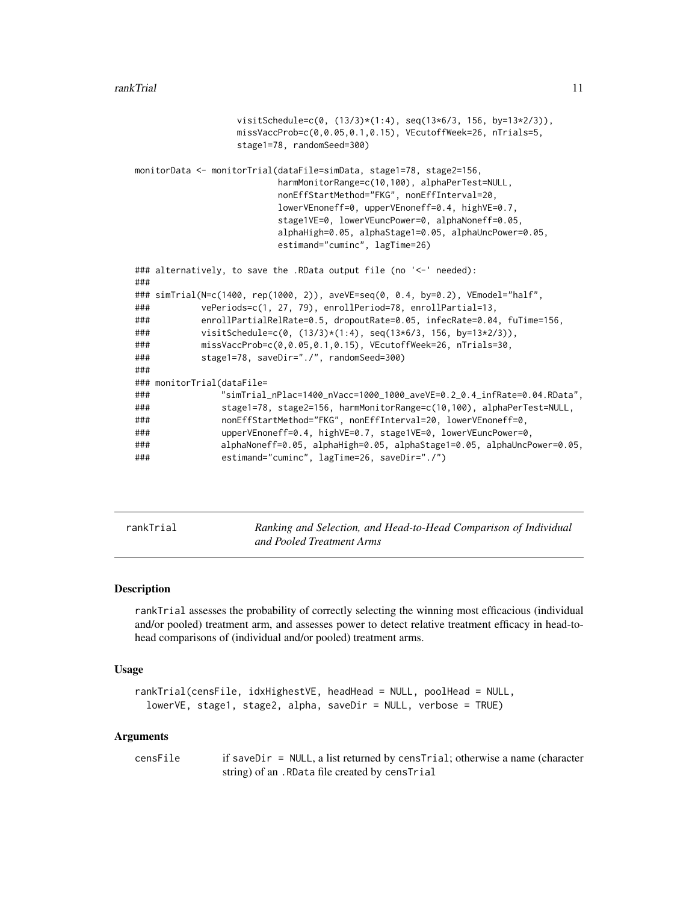```
visitSchedule=c(0, (13/3)*(1:4), seq(13*6/3, 156, by=13*2/3)),
                  missVaccProb=c(0,0.05,0.1,0.15), VEcutoffWeek=26, nTrials=5,
                  stage1=78, randomSeed=300)
monitorData <- monitorTrial(dataFile=simData, stage1=78, stage2=156,
                         harmMonitorRange=c(10,100), alphaPerTest=NULL,
                          nonEffStartMethod="FKG", nonEffInterval=20,
                          lowerVEnoneff=0, upperVEnoneff=0.4, highVE=0.7,
                          stage1VE=0, lowerVEuncPower=0, alphaNoneff=0.05,
                          alphaHigh=0.05, alphaStage1=0.05, alphaUncPower=0.05,
                          estimand="cuminc", lagTime=26)
### alternatively, to save the .RData output file (no '<-' needed):
###
### simTrial(N=c(1400, rep(1000, 2)), aveVE=seq(0, 0.4, by=0.2), VEmodel="half",
### vePeriods=c(1, 27, 79), enrollPeriod=78, enrollPartial=13,
### enrollPartialRelRate=0.5, dropoutRate=0.05, infecRate=0.04, fuTime=156,
### visitSchedule=c(0, (13/3)*(1:4), seq(13*6/3, 156, by=13*2/3)),
### missVaccProb=c(0,0.05,0.1,0.15), VEcutoffWeek=26, nTrials=30,
### stage1=78, saveDir="./", randomSeed=300)
###
### monitorTrial(dataFile=
### "simTrial_nPlac=1400_nVacc=1000_1000_aveVE=0.2_0.4_infRate=0.04.RData",
### stage1=78, stage2=156, harmMonitorRange=c(10,100), alphaPerTest=NULL,
### nonEffStartMethod="FKG", nonEffInterval=20, lowerVEnoneff=0,
### upperVEnoneff=0.4, highVE=0.7, stage1VE=0, lowerVEuncPower=0,
### alphaNoneff=0.05, alphaHigh=0.05, alphaStage1=0.05, alphaUncPower=0.05,
### estimand="cuminc", lagTime=26, saveDir="./")
```
<span id="page-10-1"></span>rankTrial *Ranking and Selection, and Head-to-Head Comparison of Individual and Pooled Treatment Arms*

#### **Description**

rankTrial assesses the probability of correctly selecting the winning most efficacious (individual and/or pooled) treatment arm, and assesses power to detect relative treatment efficacy in head-tohead comparisons of (individual and/or pooled) treatment arms.

#### Usage

```
rankTrial(censFile, idxHighestVE, headHead = NULL, poolHead = NULL,
 lowerVE, stage1, stage2, alpha, saveDir = NULL, verbose = TRUE)
```

| censFile | if saveDir = NULL, a list returned by censTrial; otherwise a name (character |
|----------|------------------------------------------------------------------------------|
|          | string) of an .RData file created by censTrial                               |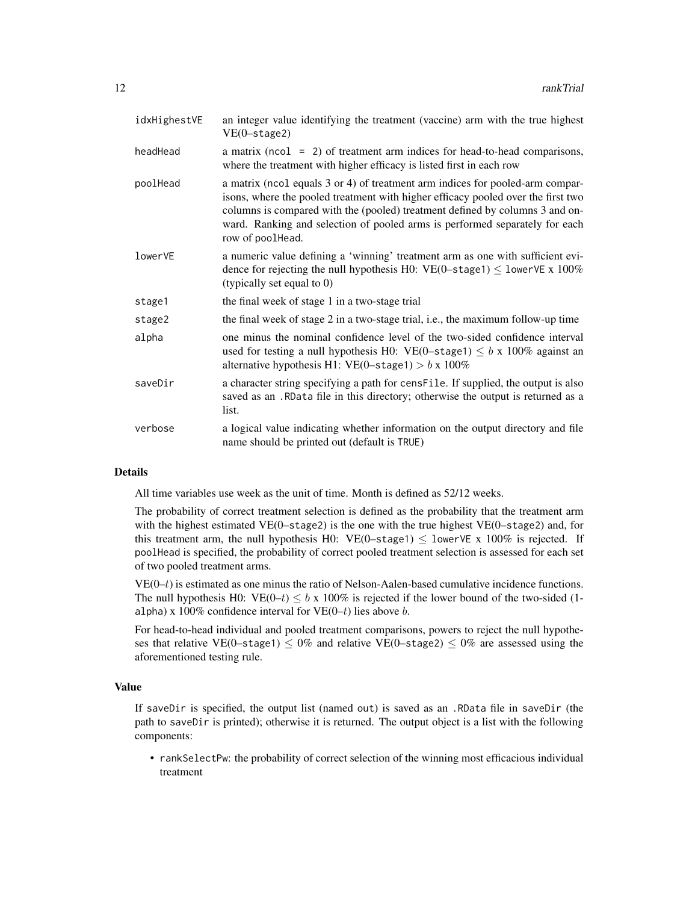| idxHighestVE | an integer value identifying the treatment (vaccine) arm with the true highest<br>$VE(0 - stage2)$                                                                                                                                                                                                                                                   |
|--------------|------------------------------------------------------------------------------------------------------------------------------------------------------------------------------------------------------------------------------------------------------------------------------------------------------------------------------------------------------|
| headHead     | a matrix ( $ncol = 2$ ) of treatment arm indices for head-to-head comparisons,<br>where the treatment with higher efficacy is listed first in each row                                                                                                                                                                                               |
| poolHead     | a matrix (ncol equals 3 or 4) of treatment arm indices for pooled-arm compar-<br>isons, where the pooled treatment with higher efficacy pooled over the first two<br>columns is compared with the (pooled) treatment defined by columns 3 and on-<br>ward. Ranking and selection of pooled arms is performed separately for each<br>row of poolHead. |
| lowerVE      | a numeric value defining a 'winning' treatment arm as one with sufficient evi-<br>dence for rejecting the null hypothesis H0: VE(0-stage1) $\leq$ lowerVE x 100%<br>(typically set equal to $0$ )                                                                                                                                                    |
| stage1       | the final week of stage 1 in a two-stage trial                                                                                                                                                                                                                                                                                                       |
| stage2       | the final week of stage 2 in a two-stage trial, i.e., the maximum follow-up time                                                                                                                                                                                                                                                                     |
| alpha        | one minus the nominal confidence level of the two-sided confidence interval<br>used for testing a null hypothesis H0: VE(0-stage1) $\leq b \times 100\%$ against an<br>alternative hypothesis H1: VE(0-stage1) $> b \times 100\%$                                                                                                                    |
| saveDir      | a character string specifying a path for censFile. If supplied, the output is also<br>saved as an .RData file in this directory; otherwise the output is returned as a<br>list.                                                                                                                                                                      |
| verbose      | a logical value indicating whether information on the output directory and file<br>name should be printed out (default is TRUE)                                                                                                                                                                                                                      |

#### Details

All time variables use week as the unit of time. Month is defined as 52/12 weeks.

The probability of correct treatment selection is defined as the probability that the treatment arm with the highest estimated  $VE(0 - stage2)$  is the one with the true highest  $VE(0 - stage2)$  and, for this treatment arm, the null hypothesis H0: VE(0–stage1)  $\leq$  lowerVE x 100% is rejected. If poolHead is specified, the probability of correct pooled treatment selection is assessed for each set of two pooled treatment arms.

 $VE(0-t)$  is estimated as one minus the ratio of Nelson-Aalen-based cumulative incidence functions. The null hypothesis H0:  $VE(0-t) \leq b \times 100\%$  is rejected if the lower bound of the two-sided (1alpha) x  $100\%$  confidence interval for VE(0–t) lies above b.

For head-to-head individual and pooled treatment comparisons, powers to reject the null hypotheses that relative VE(0–stage1)  $\leq 0\%$  and relative VE(0–stage2)  $\leq 0\%$  are assessed using the aforementioned testing rule.

#### Value

If saveDir is specified, the output list (named out) is saved as an .RData file in saveDir (the path to saveDir is printed); otherwise it is returned. The output object is a list with the following components:

• rankSelectPw: the probability of correct selection of the winning most efficacious individual treatment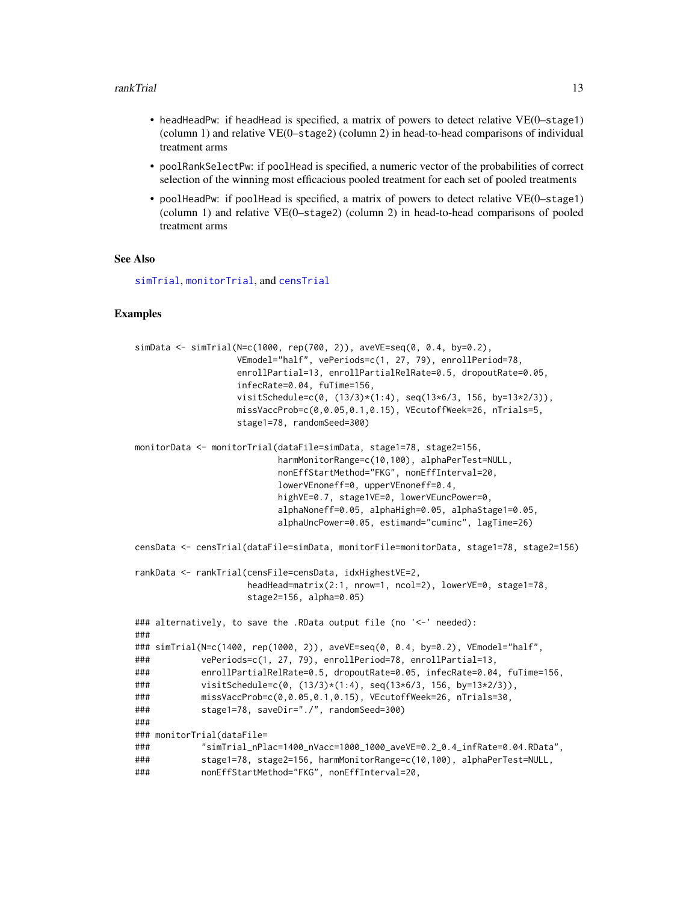#### <span id="page-12-0"></span>rankTrial 13

- headHeadPw: if headHead is specified, a matrix of powers to detect relative VE(0–stage1) (column 1) and relative VE(0–stage2) (column 2) in head-to-head comparisons of individual treatment arms
- poolRankSelectPw: if poolHead is specified, a numeric vector of the probabilities of correct selection of the winning most efficacious pooled treatment for each set of pooled treatments
- poolHeadPw: if poolHead is specified, a matrix of powers to detect relative VE(0–stage1) (column 1) and relative VE(0–stage2) (column 2) in head-to-head comparisons of pooled treatment arms

#### See Also

[simTrial](#page-13-1), [monitorTrial](#page-4-1), and [censTrial](#page-1-1)

#### Examples

```
simData <- simTrial(N=c(1000, rep(700, 2)), aveVE=seq(0, 0.4, by=0.2),
                   VEmodel="half", vePeriods=c(1, 27, 79), enrollPeriod=78,
                   enrollPartial=13, enrollPartialRelRate=0.5, dropoutRate=0.05,
                   infecRate=0.04, fuTime=156,
                   visitSchedule=c(0, (13/3)*(1:4), seq(13*6/3, 156, by=13*2/3)),
                   missVaccProb=c(0,0.05,0.1,0.15), VEcutoffWeek=26, nTrials=5,
                   stage1=78, randomSeed=300)
monitorData <- monitorTrial(dataFile=simData, stage1=78, stage2=156,
                           harmMonitorRange=c(10,100), alphaPerTest=NULL,
                           nonEffStartMethod="FKG", nonEffInterval=20,
                           lowerVEnoneff=0, upperVEnoneff=0.4,
                           highVE=0.7, stage1VE=0, lowerVEuncPower=0,
                           alphaNoneff=0.05, alphaHigh=0.05, alphaStage1=0.05,
                           alphaUncPower=0.05, estimand="cuminc", lagTime=26)
censData <- censTrial(dataFile=simData, monitorFile=monitorData, stage1=78, stage2=156)
rankData <- rankTrial(censFile=censData, idxHighestVE=2,
                     headHead=matrix(2:1, nrow=1, ncol=2), lowerVE=0, stage1=78,
                     stage2=156, alpha=0.05)
### alternatively, to save the .RData output file (no '<-' needed):
###
### simTrial(N=c(1400, rep(1000, 2)), aveVE=seq(0, 0.4, by=0.2), VEmodel="half",
### vePeriods=c(1, 27, 79), enrollPeriod=78, enrollPartial=13,
### enrollPartialRelRate=0.5, dropoutRate=0.05, infecRate=0.04, fuTime=156,
### visitSchedule=c(0, (13/3)*(1:4), seq(13*6/3, 156, by=13*2/3)),
### missVaccProb=c(0,0.05,0.1,0.15), VEcutoffWeek=26, nTrials=30,
### stage1=78, saveDir="./", randomSeed=300)
###
### monitorTrial(dataFile=
### "simTrial_nPlac=1400_nVacc=1000_1000_aveVE=0.2_0.4_infRate=0.04.RData",
### stage1=78, stage2=156, harmMonitorRange=c(10,100), alphaPerTest=NULL,
### nonEffStartMethod="FKG", nonEffInterval=20,
```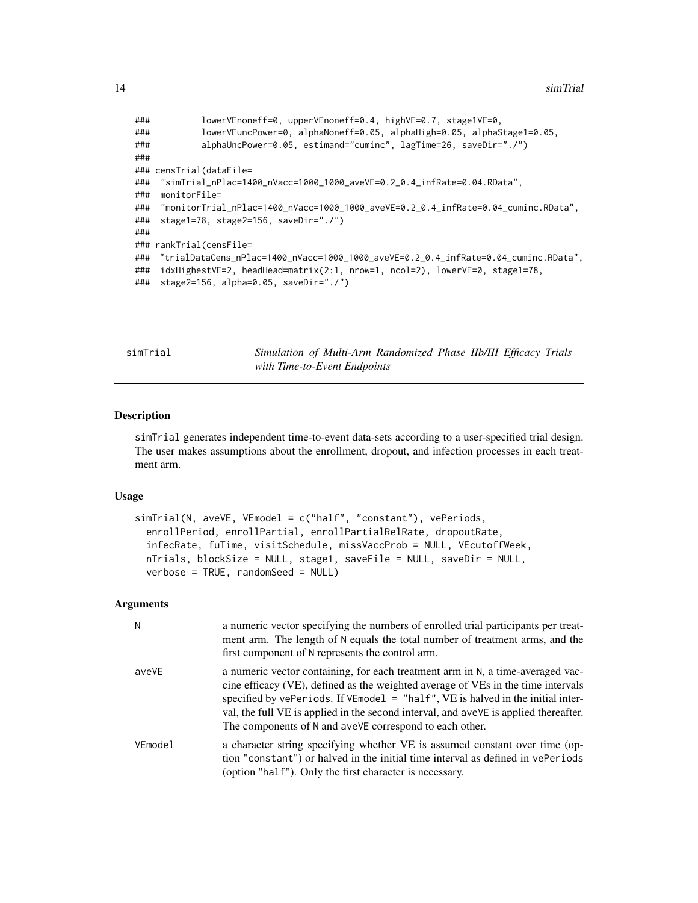```
### lowerVEnoneff=0, upperVEnoneff=0.4, highVE=0.7, stage1VE=0,
### lowerVEuncPower=0, alphaNoneff=0.05, alphaHigh=0.05, alphaStage1=0.05,
### alphaUncPower=0.05, estimand="cuminc", lagTime=26, saveDir="./")
###
### censTrial(dataFile=
### "simTrial_nPlac=1400_nVacc=1000_1000_aveVE=0.2_0.4_infRate=0.04.RData",
### monitorFile=
### "monitorTrial_nPlac=1400_nVacc=1000_1000_aveVE=0.2_0.4_infRate=0.04_cuminc.RData",
### stage1=78, stage2=156, saveDir="./")
###
### rankTrial(censFile=
### "trialDataCens_nPlac=1400_nVacc=1000_1000_aveVE=0.2_0.4_infRate=0.04_cuminc.RData",
### idxHighestVE=2, headHead=matrix(2:1, nrow=1, ncol=2), lowerVE=0, stage1=78,
### stage2=156, alpha=0.05, saveDir="./")
```
<span id="page-13-1"></span>simTrial *Simulation of Multi-Arm Randomized Phase IIb/III Efficacy Trials with Time-to-Event Endpoints*

#### **Description**

simTrial generates independent time-to-event data-sets according to a user-specified trial design. The user makes assumptions about the enrollment, dropout, and infection processes in each treatment arm.

#### Usage

```
simTrial(N, aveVE, VEmodel = c("half", "constant"), vePeriods,
 enrollPeriod, enrollPartial, enrollPartialRelRate, dropoutRate,
  infecRate, fuTime, visitSchedule, missVaccProb = NULL, VEcutoffWeek,
  nTrials, blockSize = NULL, stage1, saveFile = NULL, saveDir = NULL,
  verbose = TRUE, randomSeed = NULL)
```

| N       | a numeric vector specifying the numbers of enrolled trial participants per treat-<br>ment arm. The length of N equals the total number of treatment arms, and the<br>first component of N represents the control arm.                                                                                                                                                                                       |
|---------|-------------------------------------------------------------------------------------------------------------------------------------------------------------------------------------------------------------------------------------------------------------------------------------------------------------------------------------------------------------------------------------------------------------|
| aveVE   | a numeric vector containing, for each treatment arm in N, a time-averaged vac-<br>cine efficacy (VE), defined as the weighted average of VEs in the time intervals<br>specified by vePeriods. If $VEmodel = "half", VE$ is halved in the initial inter-<br>val, the full VE is applied in the second interval, and ave VE is applied thereafter.<br>The components of N and aveVE correspond to each other. |
| VEmodel | a character string specifying whether VE is assumed constant over time (op-<br>tion "constant") or halved in the initial time interval as defined in vePeriods<br>(option "half"). Only the first character is necessary.                                                                                                                                                                                   |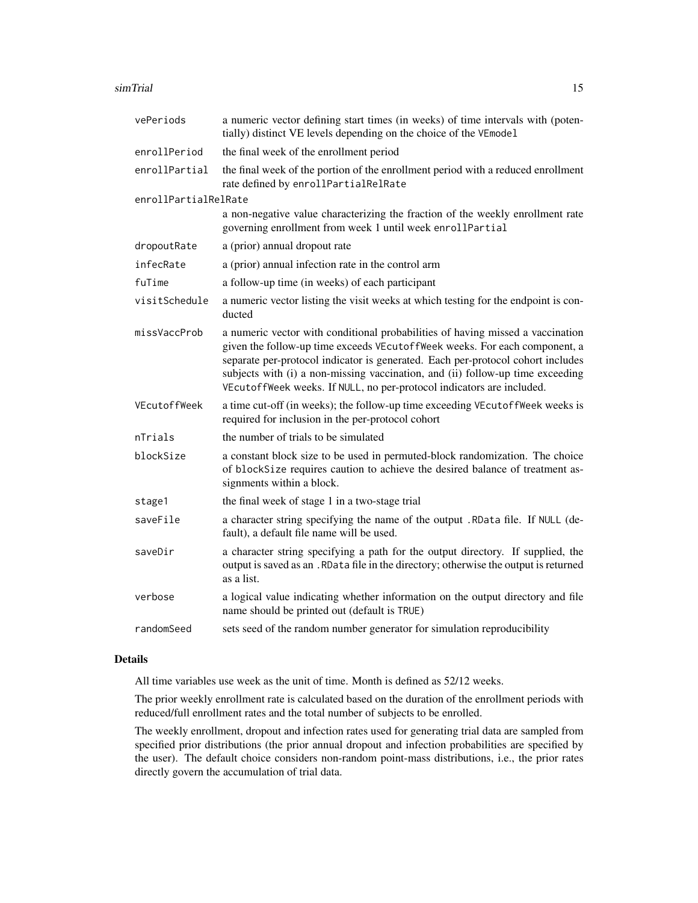#### simTrial the contract of the contract of the contract of the contract of the contract of the contract of the contract of the contract of the contract of the contract of the contract of the contract of the contract of the c

| vePeriods            | a numeric vector defining start times (in weeks) of time intervals with (poten-<br>tially) distinct VE levels depending on the choice of the VEmodel                                                                                                                                                                                                                                                       |
|----------------------|------------------------------------------------------------------------------------------------------------------------------------------------------------------------------------------------------------------------------------------------------------------------------------------------------------------------------------------------------------------------------------------------------------|
| enrollPeriod         | the final week of the enrollment period                                                                                                                                                                                                                                                                                                                                                                    |
| enrollPartial        | the final week of the portion of the enrollment period with a reduced enrollment<br>rate defined by enrollPartialRelRate                                                                                                                                                                                                                                                                                   |
| enrollPartialRelRate |                                                                                                                                                                                                                                                                                                                                                                                                            |
|                      | a non-negative value characterizing the fraction of the weekly enrollment rate<br>governing enrollment from week 1 until week enrollPartial                                                                                                                                                                                                                                                                |
| dropoutRate          | a (prior) annual dropout rate                                                                                                                                                                                                                                                                                                                                                                              |
| infecRate            | a (prior) annual infection rate in the control arm                                                                                                                                                                                                                                                                                                                                                         |
| fuTime               | a follow-up time (in weeks) of each participant                                                                                                                                                                                                                                                                                                                                                            |
| visitSchedule        | a numeric vector listing the visit weeks at which testing for the endpoint is con-<br>ducted                                                                                                                                                                                                                                                                                                               |
| missVaccProb         | a numeric vector with conditional probabilities of having missed a vaccination<br>given the follow-up time exceeds VEcutoffWeek weeks. For each component, a<br>separate per-protocol indicator is generated. Each per-protocol cohort includes<br>subjects with (i) a non-missing vaccination, and (ii) follow-up time exceeding<br>VEcutoffWeek weeks. If NULL, no per-protocol indicators are included. |
| VEcutoffWeek         | a time cut-off (in weeks); the follow-up time exceeding VEcutoffWeek weeks is<br>required for inclusion in the per-protocol cohort                                                                                                                                                                                                                                                                         |
| nTrials              | the number of trials to be simulated                                                                                                                                                                                                                                                                                                                                                                       |
| blockSize            | a constant block size to be used in permuted-block randomization. The choice<br>of blockSize requires caution to achieve the desired balance of treatment as-<br>signments within a block.                                                                                                                                                                                                                 |
| stage1               | the final week of stage 1 in a two-stage trial                                                                                                                                                                                                                                                                                                                                                             |
| saveFile             | a character string specifying the name of the output . RData file. If NULL (de-<br>fault), a default file name will be used.                                                                                                                                                                                                                                                                               |
| saveDir              | a character string specifying a path for the output directory. If supplied, the<br>output is saved as an . RData file in the directory; otherwise the output is returned<br>as a list.                                                                                                                                                                                                                     |
| verbose              | a logical value indicating whether information on the output directory and file<br>name should be printed out (default is TRUE)                                                                                                                                                                                                                                                                            |
| randomSeed           | sets seed of the random number generator for simulation reproducibility                                                                                                                                                                                                                                                                                                                                    |

#### Details

All time variables use week as the unit of time. Month is defined as 52/12 weeks.

The prior weekly enrollment rate is calculated based on the duration of the enrollment periods with reduced/full enrollment rates and the total number of subjects to be enrolled.

The weekly enrollment, dropout and infection rates used for generating trial data are sampled from specified prior distributions (the prior annual dropout and infection probabilities are specified by the user). The default choice considers non-random point-mass distributions, i.e., the prior rates directly govern the accumulation of trial data.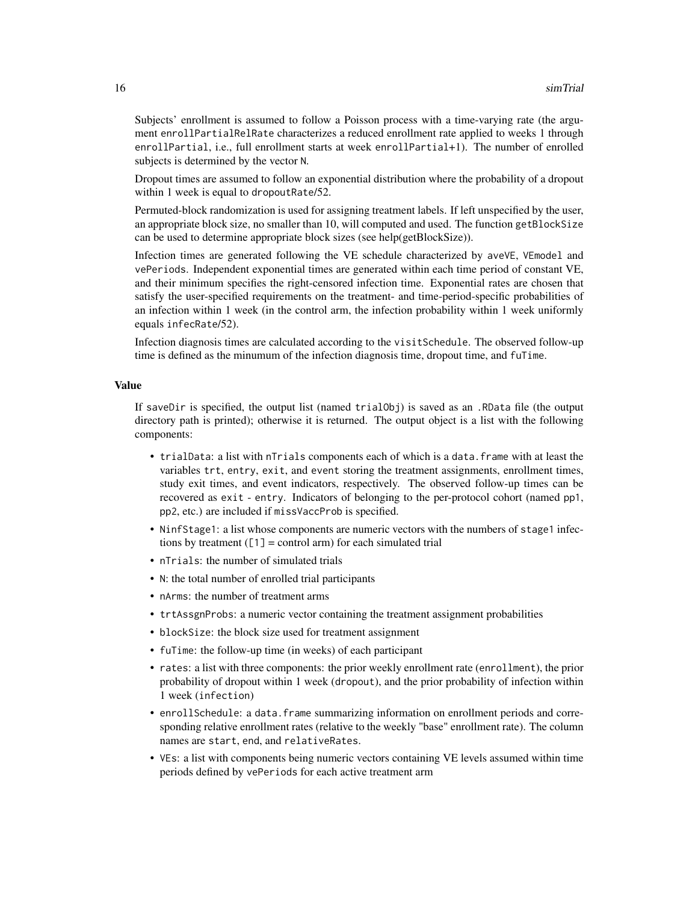Subjects' enrollment is assumed to follow a Poisson process with a time-varying rate (the argument enrollPartialRelRate characterizes a reduced enrollment rate applied to weeks 1 through enrollPartial, i.e., full enrollment starts at week enrollPartial+1). The number of enrolled subjects is determined by the vector N.

Dropout times are assumed to follow an exponential distribution where the probability of a dropout within 1 week is equal to dropout Rate/52.

Permuted-block randomization is used for assigning treatment labels. If left unspecified by the user, an appropriate block size, no smaller than 10, will computed and used. The function getBlockSize can be used to determine appropriate block sizes (see help(getBlockSize)).

Infection times are generated following the VE schedule characterized by aveVE, VEmodel and vePeriods. Independent exponential times are generated within each time period of constant VE, and their minimum specifies the right-censored infection time. Exponential rates are chosen that satisfy the user-specified requirements on the treatment- and time-period-specific probabilities of an infection within 1 week (in the control arm, the infection probability within 1 week uniformly equals infecRate/52).

Infection diagnosis times are calculated according to the visitSchedule. The observed follow-up time is defined as the minumum of the infection diagnosis time, dropout time, and fuTime.

#### Value

If saveDir is specified, the output list (named trialObj) is saved as an .RData file (the output directory path is printed); otherwise it is returned. The output object is a list with the following components:

- trialData: a list with nTrials components each of which is a data.frame with at least the variables trt, entry, exit, and event storing the treatment assignments, enrollment times, study exit times, and event indicators, respectively. The observed follow-up times can be recovered as exit - entry. Indicators of belonging to the per-protocol cohort (named pp1, pp2, etc.) are included if missVaccProb is specified.
- NinfStage1: a list whose components are numeric vectors with the numbers of stage1 infections by treatment  $(1] =$  control arm) for each simulated trial
- nTrials: the number of simulated trials
- N: the total number of enrolled trial participants
- nArms: the number of treatment arms
- trtAssgnProbs: a numeric vector containing the treatment assignment probabilities
- blockSize: the block size used for treatment assignment
- fuTime: the follow-up time (in weeks) of each participant
- rates: a list with three components: the prior weekly enrollment rate (enrollment), the prior probability of dropout within 1 week (dropout), and the prior probability of infection within 1 week (infection)
- enrollSchedule: a data.frame summarizing information on enrollment periods and corresponding relative enrollment rates (relative to the weekly "base" enrollment rate). The column names are start, end, and relativeRates.
- VEs: a list with components being numeric vectors containing VE levels assumed within time periods defined by vePeriods for each active treatment arm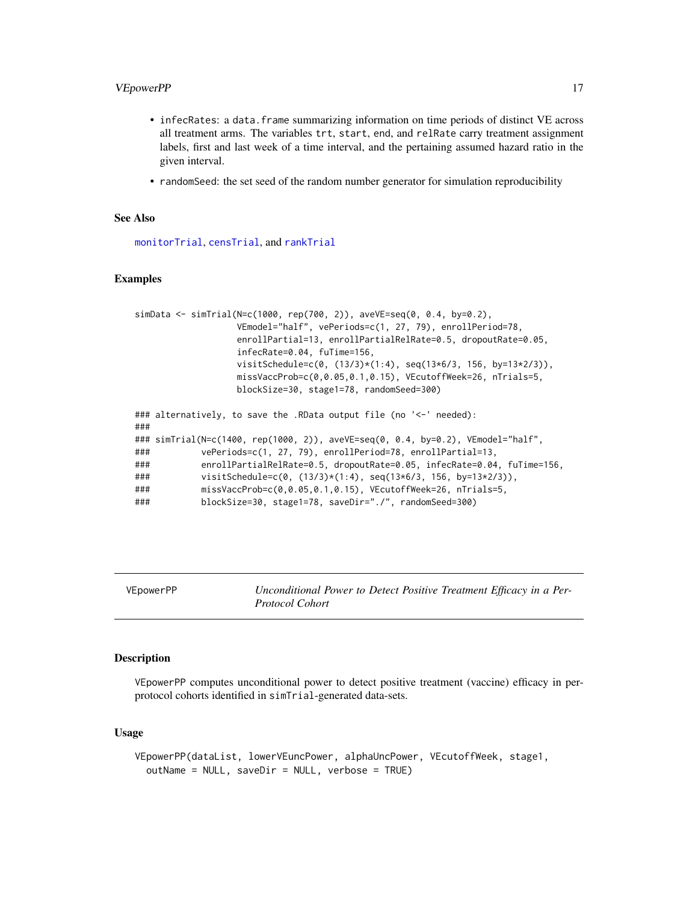#### <span id="page-16-0"></span>VEpowerPP 17

- infecRates: a data.frame summarizing information on time periods of distinct VE across all treatment arms. The variables trt, start, end, and relRate carry treatment assignment labels, first and last week of a time interval, and the pertaining assumed hazard ratio in the given interval.
- randomSeed: the set seed of the random number generator for simulation reproducibility

#### See Also

[monitorTrial](#page-4-1), [censTrial](#page-1-1), and [rankTrial](#page-10-1)

#### Examples

```
simData <- simTrial(N=c(1000, rep(700, 2)), aveVE=seq(0, 0.4, by=0.2),
                   VEmodel="half", vePeriods=c(1, 27, 79), enrollPeriod=78,
                   enrollPartial=13, enrollPartialRelRate=0.5, dropoutRate=0.05,
                   infecRate=0.04, fuTime=156,
                   visitSchedule=c(0, (13/3)*(1:4), seq(13*6/3, 156, by=13*2/3)),
                   missVaccProb=c(0,0.05,0.1,0.15), VEcutoffWeek=26, nTrials=5,
                   blockSize=30, stage1=78, randomSeed=300)
### alternatively, to save the .RData output file (no '<-' needed):
###
### simTrial(N=c(1400, rep(1000, 2)), aveVE=seq(0, 0.4, by=0.2), VEmodel="half",
### vePeriods=c(1, 27, 79), enrollPeriod=78, enrollPartial=13,
### enrollPartialRelRate=0.5, dropoutRate=0.05, infecRate=0.04, fuTime=156,
### visitSchedule=c(0, (13/3)*(1:4), seq(13*6/3, 156, by=13*2/3)),
### missVaccProb=c(0,0.05,0.1,0.15), VEcutoffWeek=26, nTrials=5,
### blockSize=30, stage1=78, saveDir="./", randomSeed=300)
```
VEpowerPP *Unconditional Power to Detect Positive Treatment Efficacy in a Per-Protocol Cohort*

#### Description

VEpowerPP computes unconditional power to detect positive treatment (vaccine) efficacy in perprotocol cohorts identified in simTrial-generated data-sets.

#### Usage

```
VEpowerPP(dataList, lowerVEuncPower, alphaUncPower, VEcutoffWeek, stage1,
  outName = NULL, saveDir = NULL, verbose = TRUE)
```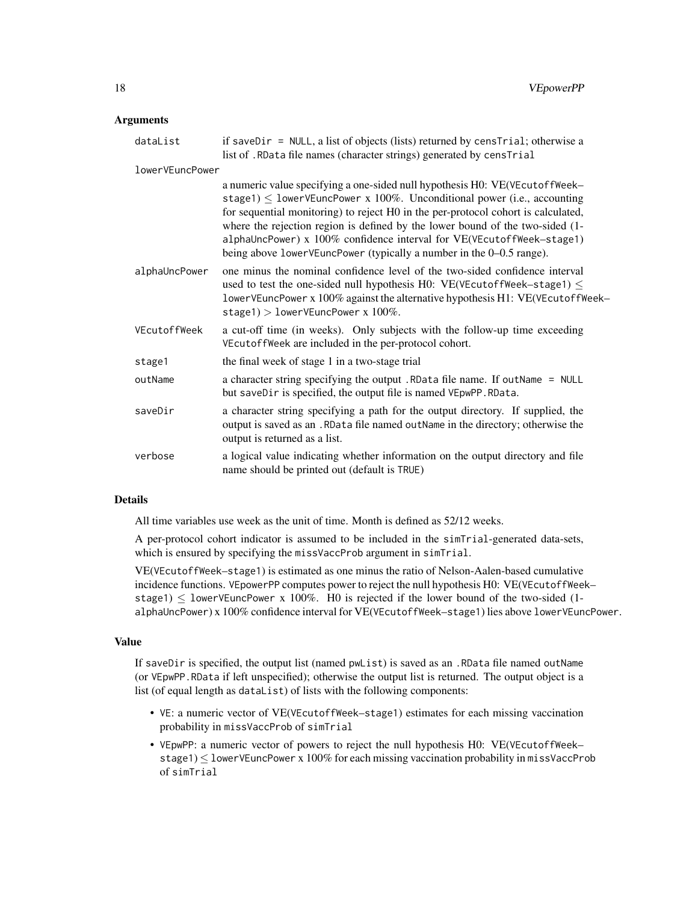#### **Arguments**

| dataList        | if saveDir = $NULL$ , a list of objects (lists) returned by censTrial; otherwise a<br>list of . RData file names (character strings) generated by censTrial                                                                                                                                                                                                                                                                                                                        |
|-----------------|------------------------------------------------------------------------------------------------------------------------------------------------------------------------------------------------------------------------------------------------------------------------------------------------------------------------------------------------------------------------------------------------------------------------------------------------------------------------------------|
| lowerVEuncPower |                                                                                                                                                                                                                                                                                                                                                                                                                                                                                    |
|                 | a numeric value specifying a one-sided null hypothesis H0: VE(VEcutoffWeek-<br>stage1) $\leq$ lowerVEuncPower x 100%. Unconditional power (i.e., accounting<br>for sequential monitoring) to reject H0 in the per-protocol cohort is calculated,<br>where the rejection region is defined by the lower bound of the two-sided (1-<br>alphaUncPower) x 100% confidence interval for VE(VEcutoffWeek-stage1)<br>being above lowerVEuncPower (typically a number in the 0–0.5 range). |
| alphaUncPower   | one minus the nominal confidence level of the two-sided confidence interval<br>used to test the one-sided null hypothesis H0: VE(VEcutoffWeek-stage1) $\leq$<br>lowerVEuncPower x 100% against the alternative hypothesis H1: VE(VEcutoffWeek-<br>stage1) > lowerVEuncPower x $100\%$ .                                                                                                                                                                                            |
| VEcutoffWeek    | a cut-off time (in weeks). Only subjects with the follow-up time exceeding<br>VEcutoffWeek are included in the per-protocol cohort.                                                                                                                                                                                                                                                                                                                                                |
| stage1          | the final week of stage 1 in a two-stage trial                                                                                                                                                                                                                                                                                                                                                                                                                                     |
| outName         | a character string specifying the output. RData file name. If outName = NULL<br>but saveDir is specified, the output file is named VEpwPP. RData.                                                                                                                                                                                                                                                                                                                                  |
| saveDir         | a character string specifying a path for the output directory. If supplied, the<br>output is saved as an . RData file named outName in the directory; otherwise the<br>output is returned as a list.                                                                                                                                                                                                                                                                               |
| verbose         | a logical value indicating whether information on the output directory and file<br>name should be printed out (default is TRUE)                                                                                                                                                                                                                                                                                                                                                    |

#### Details

All time variables use week as the unit of time. Month is defined as 52/12 weeks.

A per-protocol cohort indicator is assumed to be included in the simTrial-generated data-sets, which is ensured by specifying the missVaccProb argument in simTrial.

VE(VEcutoffWeek–stage1) is estimated as one minus the ratio of Nelson-Aalen-based cumulative incidence functions. VEpowerPP computes power to reject the null hypothesis H0: VE(VEcutoffWeek– stage1)  $\leq$  lowerVEuncPower x 100%. H0 is rejected if the lower bound of the two-sided (1alphaUncPower) x 100% confidence interval for VE(VEcutoffWeek–stage1) lies above lowerVEuncPower.

#### Value

If saveDir is specified, the output list (named pwList) is saved as an .RData file named outName (or VEpwPP.RData if left unspecified); otherwise the output list is returned. The output object is a list (of equal length as dataList) of lists with the following components:

- VE: a numeric vector of VE(VEcutoffWeek–stage1) estimates for each missing vaccination probability in missVaccProb of simTrial
- VEpwPP: a numeric vector of powers to reject the null hypothesis H0: VE(VEcutoffWeek– stage1)  $\leq$  lowerVEuncPower x 100% for each missing vaccination probability in missVaccProb of simTrial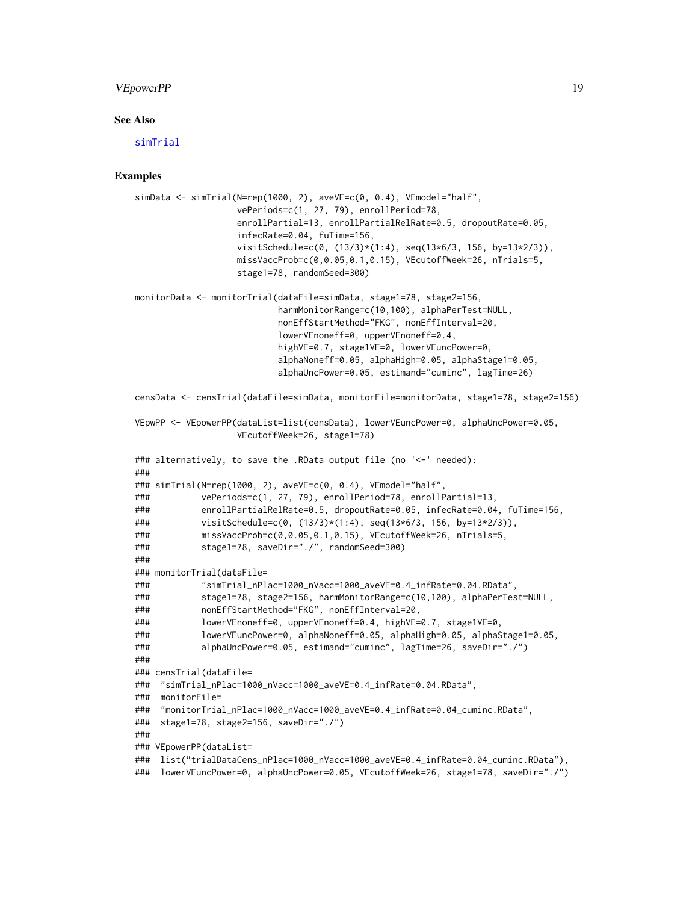#### <span id="page-18-0"></span>VEpowerPP 19

#### See Also

[simTrial](#page-13-1)

#### Examples

```
simData <- simTrial(N=rep(1000, 2), aveVE=c(0, 0.4), VEmodel="half",
                   vePeriods=c(1, 27, 79), enrollPeriod=78,
                   enrollPartial=13, enrollPartialRelRate=0.5, dropoutRate=0.05,
                   infecRate=0.04, fuTime=156,
                   visitSchedule=c(0, (13/3)*(1:4), seq(13*6/3, 156, by=13*2/3)),
                   missVaccProb=c(0,0.05,0.1,0.15), VEcutoffWeek=26, nTrials=5,
                   stage1=78, randomSeed=300)
monitorData <- monitorTrial(dataFile=simData, stage1=78, stage2=156,
                           harmMonitorRange=c(10,100), alphaPerTest=NULL,
                           nonEffStartMethod="FKG", nonEffInterval=20,
                          lowerVEnoneff=0, upperVEnoneff=0.4,
                           highVE=0.7, stage1VE=0, lowerVEuncPower=0,
                           alphaNoneff=0.05, alphaHigh=0.05, alphaStage1=0.05,
                           alphaUncPower=0.05, estimand="cuminc", lagTime=26)
censData <- censTrial(dataFile=simData, monitorFile=monitorData, stage1=78, stage2=156)
VEpwPP <- VEpowerPP(dataList=list(censData), lowerVEuncPower=0, alphaUncPower=0.05,
                   VEcutoffWeek=26, stage1=78)
### alternatively, to save the .RData output file (no '<-' needed):
###
### simTrial(N=rep(1000, 2), aveVE=c(0, 0.4), VEmodel="half",
### vePeriods=c(1, 27, 79), enrollPeriod=78, enrollPartial=13,
### enrollPartialRelRate=0.5, dropoutRate=0.05, infecRate=0.04, fuTime=156,
### visitSchedule=c(0, (13/3)*(1:4), seq(13*6/3, 156, by=13*2/3)),
### missVaccProb=c(0,0.05,0.1,0.15), VEcutoffWeek=26, nTrials=5,
### stage1=78, saveDir="./", randomSeed=300)
###
### monitorTrial(dataFile=
### "simTrial_nPlac=1000_nVacc=1000_aveVE=0.4_infRate=0.04.RData",
### stage1=78, stage2=156, harmMonitorRange=c(10,100), alphaPerTest=NULL,
### nonEffStartMethod="FKG", nonEffInterval=20,
### lowerVEnoneff=0, upperVEnoneff=0.4, highVE=0.7, stage1VE=0,
### lowerVEuncPower=0, alphaNoneff=0.05, alphaHigh=0.05, alphaStage1=0.05,
### alphaUncPower=0.05, estimand="cuminc", lagTime=26, saveDir="./")
###
### censTrial(dataFile=
### "simTrial_nPlac=1000_nVacc=1000_aveVE=0.4_infRate=0.04.RData",
### monitorFile=
### "monitorTrial_nPlac=1000_nVacc=1000_aveVE=0.4_infRate=0.04_cuminc.RData",
### stage1=78, stage2=156, saveDir="./")
###
### VEpowerPP(dataList=
### list("trialDataCens_nPlac=1000_nVacc=1000_aveVE=0.4_infRate=0.04_cuminc.RData"),
### lowerVEuncPower=0, alphaUncPower=0.05, VEcutoffWeek=26, stage1=78, saveDir="./")
```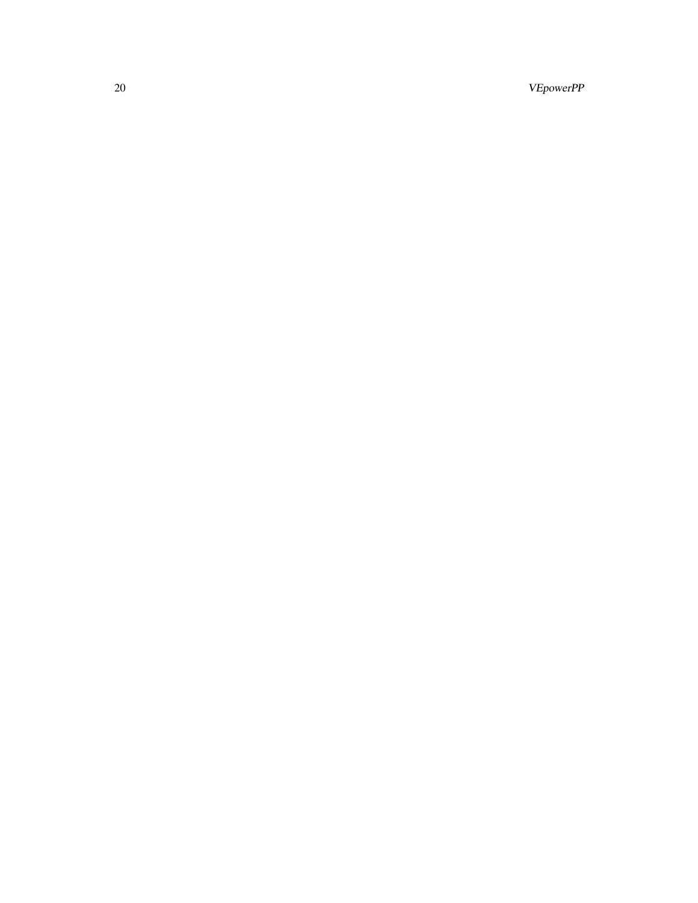VEpowerPP